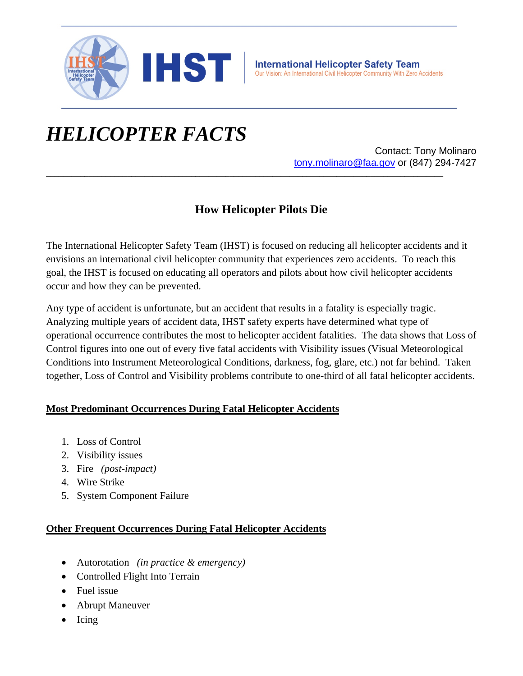

## *HELICOPTER FACTS*

Contact: Tony Molinaro tony.molinaro@faa.gov or (847) 294-7427

## **How Helicopter Pilots Die**

**\_\_\_\_\_\_\_\_\_\_\_\_\_\_\_\_\_\_\_\_\_\_\_\_\_\_\_\_\_\_\_\_\_\_\_\_\_\_\_\_\_\_\_\_\_\_\_\_\_\_\_\_\_\_\_\_\_\_\_\_\_\_\_\_\_\_\_\_\_\_\_\_\_\_\_\_\_\_\_\_\_\_\_\_\_\_\_\_\_\_\_\_\_**

The International Helicopter Safety Team (IHST) is focused on reducing all helicopter accidents and it envisions an international civil helicopter community that experiences zero accidents. To reach this goal, the IHST is focused on educating all operators and pilots about how civil helicopter accidents occur and how they can be prevented.

Any type of accident is unfortunate, but an accident that results in a fatality is especially tragic. Analyzing multiple years of accident data, IHST safety experts have determined what type of operational occurrence contributes the most to helicopter accident fatalities. The data shows that Loss of Control figures into one out of every five fatal accidents with Visibility issues (Visual Meteorological Conditions into Instrument Meteorological Conditions, darkness, fog, glare, etc.) not far behind. Taken together, Loss of Control and Visibility problems contribute to one-third of all fatal helicopter accidents.

## **Most Predominant Occurrences During Fatal Helicopter Accidents**

- 1. Loss of Control
- 2. Visibility issues
- 3. Fire *(post-impact)*
- 4. Wire Strike
- 5. System Component Failure

## **Other Frequent Occurrences During Fatal Helicopter Accidents**

- Autorotation *(in practice & emergency)*
- Controlled Flight Into Terrain
- Fuel issue
- Abrupt Maneuver
- $\bullet$  Icing